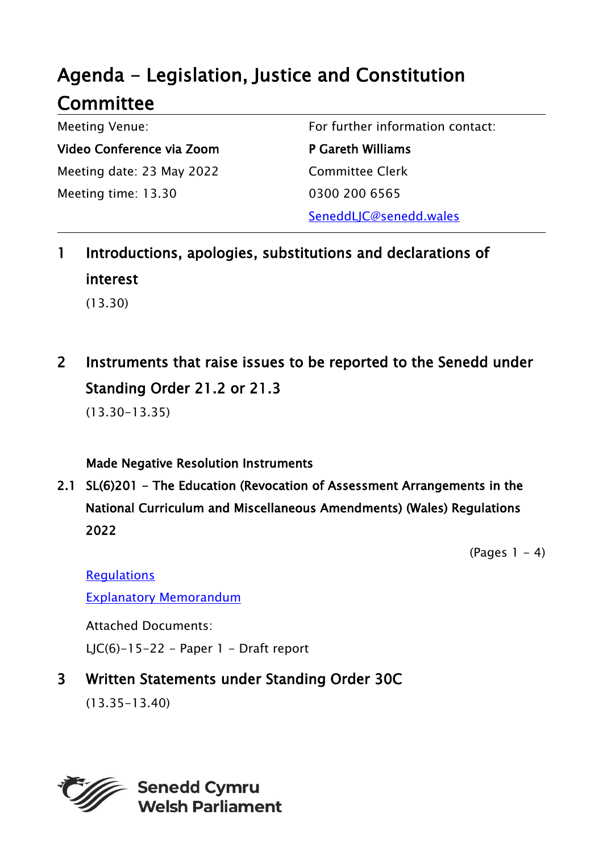# Agenda - Legislation, Justice and Constitution **Committee**

Meeting Venue: Video Conference via Zoom Meeting date: 23 May 2022 Meeting time: 13.30

For further information contact:

P Gareth Williams Committee Clerk 0300 200 6565 SeneddLJC@senedd.wales

1 Introductions, apologies, substitutions and declarations of interest (13.30)

2 Instruments that raise issues to be reported to the Senedd under Standing Order 21.2 or 21.3

(13.30-13.35)

Made Negative Resolution Instruments

2.1 SL(6)201 - The Education (Revocation of Assessment Arrangements in the National Curriculum and Miscellaneous Amendments) (Wales) Regulations 2022

 $(Pa$ ges  $1 - 4)$ 

**Requlations** 

[Explanatory Memorandum](https://senedd.wales/media/dg5fg153/sub-ld15107-em-e.pdf)

Attached Documents: LIC(6)-15-22 - Paper  $1$  - Draft report

## 3 Written Statements under Standing Order 30C

(13.35-13.40)

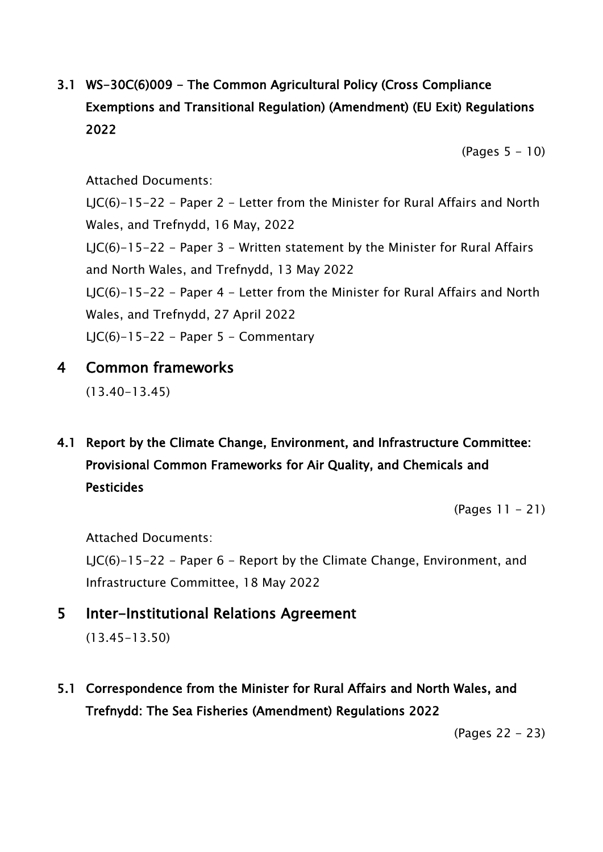# 3.1 WS-30C(6)009 - The Common Agricultural Policy (Cross Compliance Exemptions and Transitional Regulation) (Amendment) (EU Exit) Regulations 2022

 $(Pages 5 - 10)$ 

#### Attached Documents:

LJC(6)-15-22 - Paper 2 - Letter from the Minister for Rural Affairs and North Wales, and Trefnydd, 16 May, 2022 LJC(6)-15-22 - Paper 3 - Written statement by the Minister for Rural Affairs and North Wales, and Trefnydd, 13 May 2022 LJC(6)-15-22 - Paper 4 - Letter from the Minister for Rural Affairs and North Wales, and Trefnydd, 27 April 2022 LJC(6)-15-22 - Paper 5 - Commentary

#### 4 Common frameworks

(13.40-13.45)

4.1 Report by the Climate Change, Environment, and Infrastructure Committee: Provisional Common Frameworks for Air Quality, and Chemicals and **Pesticides** 

(Pages 11 - 21)

Attached Documents:

LJC(6)-15-22 - Paper  $6$  - Report by the Climate Change, Environment, and Infrastructure Committee, 18 May 2022

5 Inter-Institutional Relations Agreement

(13.45-13.50)

5.1 Correspondence from the Minister for Rural Affairs and North Wales, and Trefnydd: The Sea Fisheries (Amendment) Regulations 2022

(Pages 22 - 23)